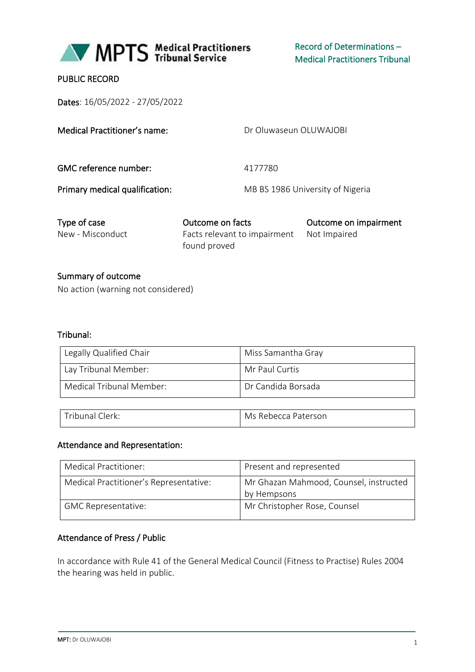

## PUBLIC RECORD

Dates: 16/05/2022 - 27/05/2022

| <b>Medical Practitioner's name:</b> | Dr Oluwaseun OLUWAJOBI           |
|-------------------------------------|----------------------------------|
| <b>GMC</b> reference number:        | 4177780                          |
| Primary medical qualification:      | MB BS 1986 University of Nigeria |
|                                     |                                  |

| Type of case     | Outcome on facts                          | Outcome on impairment |
|------------------|-------------------------------------------|-----------------------|
| New - Misconduct | Facts relevant to impairment Not Impaired |                       |
|                  | found proved                              |                       |

## Summary of outcome

No action (warning not considered)

#### Tribunal:

| Legally Qualified Chair    | Miss Samantha Gray |
|----------------------------|--------------------|
| Lay Tribunal Member:       | Mr Paul Curtis     |
| Medical Tribunal Member: \ | Dr Candida Borsada |

|                          | aterson.  |
|--------------------------|-----------|
| $\overline{\phantom{0}}$ | IV)       |
| rıhuns                   | 3 P D P C |
| Herk.                    | ำ⊣        |
| Id                       | ∽         |

#### Attendance and Representation:

| Medical Practitioner:                  | Present and represented                               |
|----------------------------------------|-------------------------------------------------------|
| Medical Practitioner's Representative: | Mr Ghazan Mahmood, Counsel, instructed<br>by Hempsons |
| <b>GMC Representative:</b>             | Mr Christopher Rose, Counsel                          |

## Attendance of Press / Public

In accordance with Rule 41 of the General Medical Council (Fitness to Practise) Rules 2004 the hearing was held in public.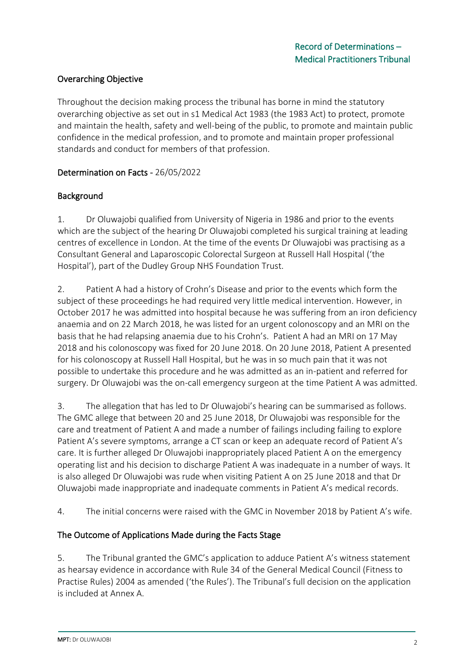# Overarching Objective

Throughout the decision making process the tribunal has borne in mind the statutory overarching objective as set out in s1 Medical Act 1983 (the 1983 Act) to protect, promote and maintain the health, safety and well-being of the public, to promote and maintain public confidence in the medical profession, and to promote and maintain proper professional standards and conduct for members of that profession.

## Determination on Facts - 26/05/2022

## Background

1. Dr Oluwajobi qualified from University of Nigeria in 1986 and prior to the events which are the subject of the hearing Dr Oluwajobi completed his surgical training at leading centres of excellence in London. At the time of the events Dr Oluwajobi was practising as a Consultant General and Laparoscopic Colorectal Surgeon at Russell Hall Hospital ('the Hospital'), part of the Dudley Group NHS Foundation Trust.

2. Patient A had a history of Crohn's Disease and prior to the events which form the subject of these proceedings he had required very little medical intervention. However, in October 2017 he was admitted into hospital because he was suffering from an iron deficiency anaemia and on 22 March 2018, he was listed for an urgent colonoscopy and an MRI on the basis that he had relapsing anaemia due to his Crohn's. Patient A had an MRI on 17 May 2018 and his colonoscopy was fixed for 20 June 2018. On 20 June 2018, Patient A presented for his colonoscopy at Russell Hall Hospital, but he was in so much pain that it was not possible to undertake this procedure and he was admitted as an in-patient and referred for surgery. Dr Oluwajobi was the on-call emergency surgeon at the time Patient A was admitted.

3. The allegation that has led to Dr Oluwajobi's hearing can be summarised as follows. The GMC allege that between 20 and 25 June 2018, Dr Oluwajobi was responsible for the care and treatment of Patient A and made a number of failings including failing to explore Patient A's severe symptoms, arrange a CT scan or keep an adequate record of Patient A's care. It is further alleged Dr Oluwajobi inappropriately placed Patient A on the emergency operating list and his decision to discharge Patient A was inadequate in a number of ways. It is also alleged Dr Oluwajobi was rude when visiting Patient A on 25 June 2018 and that Dr Oluwajobi made inappropriate and inadequate comments in Patient A's medical records.

4. The initial concerns were raised with the GMC in November 2018 by Patient A's wife.

## The Outcome of Applications Made during the Facts Stage

5. The Tribunal granted the GMC's application to adduce Patient A's witness statement as hearsay evidence in accordance with Rule 34 of the General Medical Council (Fitness to Practise Rules) 2004 as amended ('the Rules'). The Tribunal's full decision on the application is included at Annex A.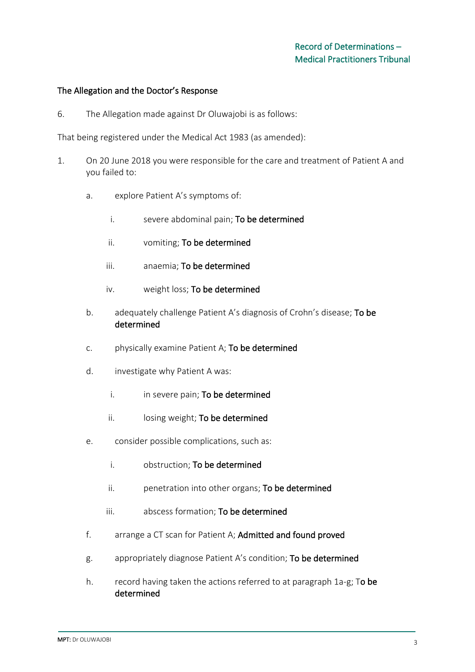#### The Allegation and the Doctor's Response

6. The Allegation made against Dr Oluwajobi is as follows:

That being registered under the Medical Act 1983 (as amended):

- 1. On 20 June 2018 you were responsible for the care and treatment of Patient A and you failed to:
	- a. explore Patient A's symptoms of:
		- i. severe abdominal pain; To be determined
		- ii. vomiting; To be determined
		- iii. anaemia; To be determined
		- iv. weight loss; To be determined
	- b. adequately challenge Patient A's diagnosis of Crohn's disease; To be determined
	- c. physically examine Patient A; To be determined
	- d. investigate why Patient A was:
		- i. in severe pain; To be determined
		- ii. losing weight; To be determined
	- e. consider possible complications, such as:
		- i. obstruction; To be determined
		- ii. penetration into other organs; To be determined
		- iii. abscess formation; To be determined
	- f. arrange a CT scan for Patient A; Admitted and found proved
	- g. appropriately diagnose Patient A's condition; To be determined
	- h. record having taken the actions referred to at paragraph 1a-g; To be determined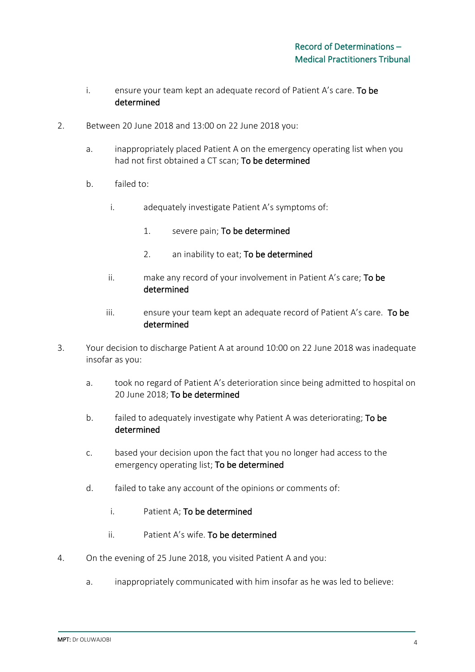- i. ensure your team kept an adequate record of Patient A's care. To be determined
- 2. Between 20 June 2018 and 13:00 on 22 June 2018 you:
	- a. inappropriately placed Patient A on the emergency operating list when you had not first obtained a CT scan; To be determined
	- b. failed to:
		- i. adequately investigate Patient A's symptoms of:
			- 1. severe pain; To be determined
			- 2. an inability to eat; To be determined
		- ii.  $\frac{m}{2}$  make any record of your involvement in Patient A's care; To be determined
		- iii. ensure your team kept an adequate record of Patient A's care. To be determined
- 3. Your decision to discharge Patient A at around 10:00 on 22 June 2018 was inadequate insofar as you:
	- a. took no regard of Patient A's deterioration since being admitted to hospital on 20 June 2018; To be determined
	- b. failed to adequately investigate why Patient A was deteriorating; To be determined
	- c. based your decision upon the fact that you no longer had access to the emergency operating list; To be determined
	- d. failed to take any account of the opinions or comments of:
		- i. Patient A; To be determined
		- ii. Patient A's wife. To be determined
- 4. On the evening of 25 June 2018, you visited Patient A and you:
	- a. inappropriately communicated with him insofar as he was led to believe: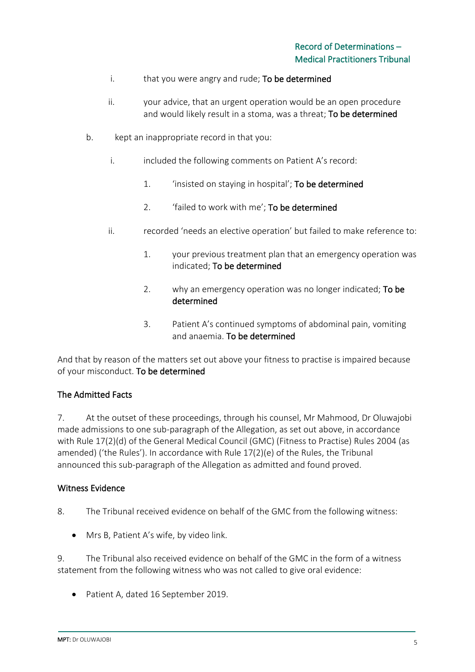- i. that you were angry and rude; To be determined
- ii. your advice, that an urgent operation would be an open procedure and would likely result in a stoma, was a threat; To be determined
- b. kept an inappropriate record in that you:
	- i. included the following comments on Patient A's record:
		- 1. 'insisted on staying in hospital'; To be determined
		- 2. *'failed to work with me'*; To be determined
	- ii. recorded 'needs an elective operation' but failed to make reference to:
		- 1. your previous treatment plan that an emergency operation was indicated; To be determined
		- 2. why an emergency operation was no longer indicated; To be determined
		- 3. Patient A's continued symptoms of abdominal pain, vomiting and anaemia. To be determined

And that by reason of the matters set out above your fitness to practise is impaired because of your misconduct. To be determined

## The Admitted Facts

7. At the outset of these proceedings, through his counsel, Mr Mahmood, Dr Oluwajobi made admissions to one sub-paragraph of the Allegation, as set out above, in accordance with Rule 17(2)(d) of the General Medical Council (GMC) (Fitness to Practise) Rules 2004 (as amended) ('the Rules'). In accordance with Rule 17(2)(e) of the Rules, the Tribunal announced this sub-paragraph of the Allegation as admitted and found proved.

## Witness Evidence

- 8. The Tribunal received evidence on behalf of the GMC from the following witness:
	- Mrs B, Patient A's wife, by video link.

9. The Tribunal also received evidence on behalf of the GMC in the form of a witness statement from the following witness who was not called to give oral evidence:

• Patient A, dated 16 September 2019.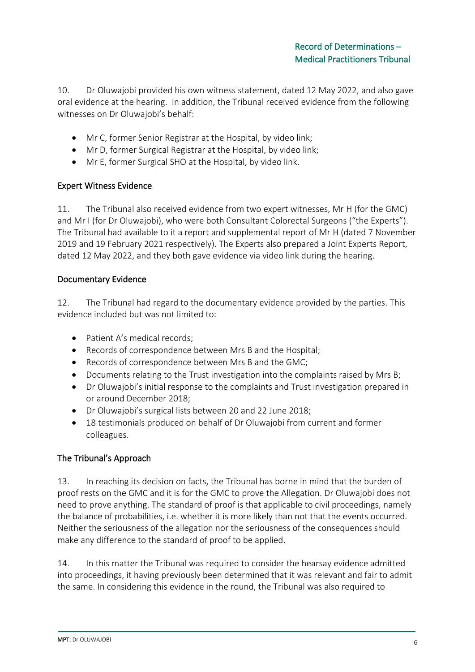10. Dr Oluwajobi provided his own witness statement, dated 12 May 2022, and also gave oral evidence at the hearing. In addition, the Tribunal received evidence from the following witnesses on Dr Oluwajobi's behalf:

- Mr C, former Senior Registrar at the Hospital, by video link;
- Mr D, former Surgical Registrar at the Hospital, by video link;
- Mr E, former Surgical SHO at the Hospital, by video link.

#### Expert Witness Evidence

11. The Tribunal also received evidence from two expert witnesses, Mr H (for the GMC) and Mr I (for Dr Oluwajobi), who were both Consultant Colorectal Surgeons ("the Experts"). The Tribunal had available to it a report and supplemental report of Mr H (dated 7 November 2019 and 19 February 2021 respectively). The Experts also prepared a Joint Experts Report, dated 12 May 2022, and they both gave evidence via video link during the hearing.

## Documentary Evidence

12. The Tribunal had regard to the documentary evidence provided by the parties. This evidence included but was not limited to:

- Patient A's medical records:
- Records of correspondence between Mrs B and the Hospital;
- Records of correspondence between Mrs B and the GMC;
- Documents relating to the Trust investigation into the complaints raised by Mrs B;
- Dr Oluwajobi's initial response to the complaints and Trust investigation prepared in or around December 2018;
- Dr Oluwajobi's surgical lists between 20 and 22 June 2018;
- 18 testimonials produced on behalf of Dr Oluwajobi from current and former colleagues.

## The Tribunal's Approach

13. In reaching its decision on facts, the Tribunal has borne in mind that the burden of proof rests on the GMC and it is for the GMC to prove the Allegation. Dr Oluwajobi does not need to prove anything. The standard of proof is that applicable to civil proceedings, namely the balance of probabilities, i.e. whether it is more likely than not that the events occurred. Neither the seriousness of the allegation nor the seriousness of the consequences should make any difference to the standard of proof to be applied.

14. In this matter the Tribunal was required to consider the hearsay evidence admitted into proceedings, it having previously been determined that it was relevant and fair to admit the same. In considering this evidence in the round, the Tribunal was also required to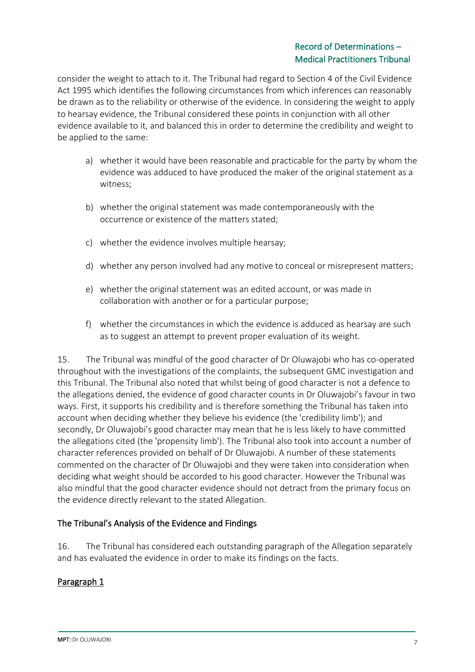consider the weight to attach to it. The Tribunal had regard to Section 4 of the Civil Evidence Act 1995 which identifies the following circumstances from which inferences can reasonably be drawn as to the reliability or otherwise of the evidence. In considering the weight to apply to hearsay evidence, the Tribunal considered these points in conjunction with all other evidence available to it, and balanced this in order to determine the credibility and weight to be applied to the same:

- a) whether it would have been reasonable and practicable for the party by whom the evidence was adduced to have produced the maker of the original statement as a witness;
- b) whether the original statement was made contemporaneously with the occurrence or existence of the matters stated;
- c) whether the evidence involves multiple hearsay;
- d) whether any person involved had any motive to conceal or misrepresent matters;
- e) whether the original statement was an edited account, or was made in collaboration with another or for a particular purpose;
- f) whether the circumstances in which the evidence is adduced as hearsay are such as to suggest an attempt to prevent proper evaluation of its weight.

15. The Tribunal was mindful of the good character of Dr Oluwajobi who has co-operated throughout with the investigations of the complaints, the subsequent GMC investigation and this Tribunal. The Tribunal also noted that whilst being of good character is not a defence to the allegations denied, the evidence of good character counts in Dr Oluwajobi's favour in two ways. First, it supports his credibility and is therefore something the Tribunal has taken into account when deciding whether they believe his evidence (the 'credibility limb'); and secondly, Dr Oluwajobi's good character may mean that he is less likely to have committed the allegations cited (the 'propensity limb'). The Tribunal also took into account a number of character references provided on behalf of Dr Oluwajobi. A number of these statements commented on the character of Dr Oluwajobi and they were taken into consideration when deciding what weight should be accorded to his good character. However the Tribunal was also mindful that the good character evidence should not detract from the primary focus on the evidence directly relevant to the stated Allegation.

# The Tribunal's Analysis of the Evidence and Findings

16. The Tribunal has considered each outstanding paragraph of the Allegation separately and has evaluated the evidence in order to make its findings on the facts.

# Paragraph 1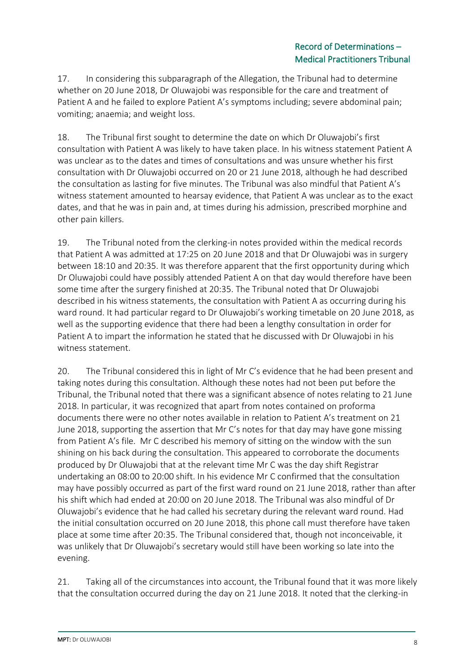17. In considering this subparagraph of the Allegation, the Tribunal had to determine whether on 20 June 2018, Dr Oluwajobi was responsible for the care and treatment of Patient A and he failed to explore Patient A's symptoms including; severe abdominal pain; vomiting; anaemia; and weight loss.

18. The Tribunal first sought to determine the date on which Dr Oluwajobi's first consultation with Patient A was likely to have taken place. In his witness statement Patient A was unclear as to the dates and times of consultations and was unsure whether his first consultation with Dr Oluwajobi occurred on 20 or 21 June 2018, although he had described the consultation as lasting for five minutes. The Tribunal was also mindful that Patient A's witness statement amounted to hearsay evidence, that Patient A was unclear as to the exact dates, and that he was in pain and, at times during his admission, prescribed morphine and other pain killers.

19. The Tribunal noted from the clerking-in notes provided within the medical records that Patient A was admitted at 17:25 on 20 June 2018 and that Dr Oluwajobi was in surgery between 18:10 and 20:35. It was therefore apparent that the first opportunity during which Dr Oluwajobi could have possibly attended Patient A on that day would therefore have been some time after the surgery finished at 20:35. The Tribunal noted that Dr Oluwajobi described in his witness statements, the consultation with Patient A as occurring during his ward round. It had particular regard to Dr Oluwajobi's working timetable on 20 June 2018, as well as the supporting evidence that there had been a lengthy consultation in order for Patient A to impart the information he stated that he discussed with Dr Oluwajobi in his witness statement.

20. The Tribunal considered this in light of Mr C's evidence that he had been present and taking notes during this consultation. Although these notes had not been put before the Tribunal, the Tribunal noted that there was a significant absence of notes relating to 21 June 2018. In particular, it was recognized that apart from notes contained on proforma documents there were no other notes available in relation to Patient A's treatment on 21 June 2018, supporting the assertion that Mr C's notes for that day may have gone missing from Patient A's file. Mr C described his memory of sitting on the window with the sun shining on his back during the consultation. This appeared to corroborate the documents produced by Dr Oluwajobi that at the relevant time Mr C was the day shift Registrar undertaking an 08:00 to 20:00 shift. In his evidence Mr C confirmed that the consultation may have possibly occurred as part of the first ward round on 21 June 2018, rather than after his shift which had ended at 20:00 on 20 June 2018. The Tribunal was also mindful of Dr Oluwajobi's evidence that he had called his secretary during the relevant ward round. Had the initial consultation occurred on 20 June 2018, this phone call must therefore have taken place at some time after 20:35. The Tribunal considered that, though not inconceivable, it was unlikely that Dr Oluwajobi's secretary would still have been working so late into the evening.

21. Taking all of the circumstances into account, the Tribunal found that it was more likely that the consultation occurred during the day on 21 June 2018. It noted that the clerking-in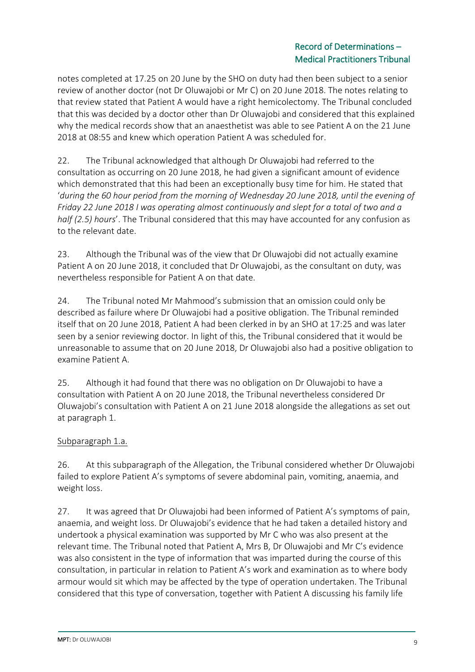notes completed at 17.25 on 20 June by the SHO on duty had then been subject to a senior review of another doctor (not Dr Oluwajobi or Mr C) on 20 June 2018. The notes relating to that review stated that Patient A would have a right hemicolectomy. The Tribunal concluded that this was decided by a doctor other than Dr Oluwajobi and considered that this explained why the medical records show that an anaesthetist was able to see Patient A on the 21 June 2018 at 08:55 and knew which operation Patient A was scheduled for.

22. The Tribunal acknowledged that although Dr Oluwajobi had referred to the consultation as occurring on 20 June 2018, he had given a significant amount of evidence which demonstrated that this had been an exceptionally busy time for him. He stated that '*during the 60 hour period from the morning of Wednesday 20 June 2018, until the evening of Friday 22 June 2018 I was operating almost continuously and slept for a total of two and a half (2.5) hours*'. The Tribunal considered that this may have accounted for any confusion as to the relevant date.

23. Although the Tribunal was of the view that Dr Oluwajobi did not actually examine Patient A on 20 June 2018, it concluded that Dr Oluwajobi, as the consultant on duty, was nevertheless responsible for Patient A on that date.

24. The Tribunal noted Mr Mahmood's submission that an omission could only be described as failure where Dr Oluwajobi had a positive obligation. The Tribunal reminded itself that on 20 June 2018, Patient A had been clerked in by an SHO at 17:25 and was later seen by a senior reviewing doctor. In light of this, the Tribunal considered that it would be unreasonable to assume that on 20 June 2018, Dr Oluwajobi also had a positive obligation to examine Patient A.

25. Although it had found that there was no obligation on Dr Oluwajobi to have a consultation with Patient A on 20 June 2018, the Tribunal nevertheless considered Dr Oluwajobi's consultation with Patient A on 21 June 2018 alongside the allegations as set out at paragraph 1.

# Subparagraph 1.a.

26. At this subparagraph of the Allegation, the Tribunal considered whether Dr Oluwajobi failed to explore Patient A's symptoms of severe abdominal pain, vomiting, anaemia, and weight loss.

27. It was agreed that Dr Oluwajobi had been informed of Patient A's symptoms of pain, anaemia, and weight loss. Dr Oluwajobi's evidence that he had taken a detailed history and undertook a physical examination was supported by Mr C who was also present at the relevant time. The Tribunal noted that Patient A, Mrs B, Dr Oluwajobi and Mr C's evidence was also consistent in the type of information that was imparted during the course of this consultation, in particular in relation to Patient A's work and examination as to where body armour would sit which may be affected by the type of operation undertaken. The Tribunal considered that this type of conversation, together with Patient A discussing his family life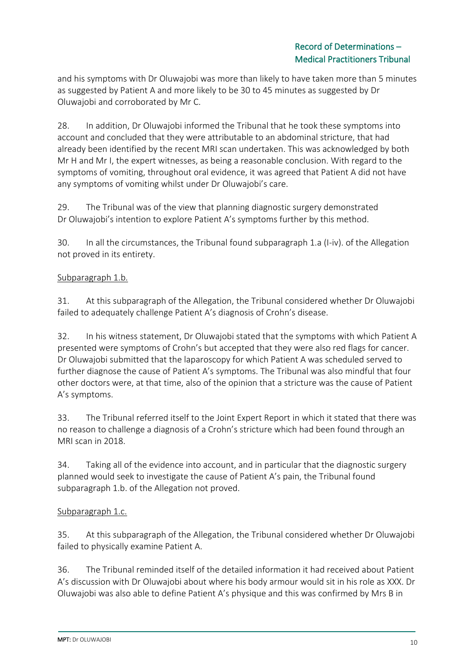and his symptoms with Dr Oluwajobi was more than likely to have taken more than 5 minutes as suggested by Patient A and more likely to be 30 to 45 minutes as suggested by Dr Oluwajobi and corroborated by Mr C.

28. In addition, Dr Oluwajobi informed the Tribunal that he took these symptoms into account and concluded that they were attributable to an abdominal stricture, that had already been identified by the recent MRI scan undertaken. This was acknowledged by both Mr H and Mr I, the expert witnesses, as being a reasonable conclusion. With regard to the symptoms of vomiting, throughout oral evidence, it was agreed that Patient A did not have any symptoms of vomiting whilst under Dr Oluwajobi's care.

29. The Tribunal was of the view that planning diagnostic surgery demonstrated Dr Oluwajobi's intention to explore Patient A's symptoms further by this method.

30. In all the circumstances, the Tribunal found subparagraph 1.a (I-iv). of the Allegation not proved in its entirety.

# Subparagraph 1.b.

31. At this subparagraph of the Allegation, the Tribunal considered whether Dr Oluwajobi failed to adequately challenge Patient A's diagnosis of Crohn's disease.

32. In his witness statement, Dr Oluwajobi stated that the symptoms with which Patient A presented were symptoms of Crohn's but accepted that they were also red flags for cancer. Dr Oluwajobi submitted that the laparoscopy for which Patient A was scheduled served to further diagnose the cause of Patient A's symptoms. The Tribunal was also mindful that four other doctors were, at that time, also of the opinion that a stricture was the cause of Patient A's symptoms.

33. The Tribunal referred itself to the Joint Expert Report in which it stated that there was no reason to challenge a diagnosis of a Crohn's stricture which had been found through an MRI scan in 2018.

34. Taking all of the evidence into account, and in particular that the diagnostic surgery planned would seek to investigate the cause of Patient A's pain, the Tribunal found subparagraph 1.b. of the Allegation not proved.

# Subparagraph 1.c.

35. At this subparagraph of the Allegation, the Tribunal considered whether Dr Oluwajobi failed to physically examine Patient A.

36. The Tribunal reminded itself of the detailed information it had received about Patient A's discussion with Dr Oluwajobi about where his body armour would sit in his role as XXX. Dr Oluwajobi was also able to define Patient A's physique and this was confirmed by Mrs B in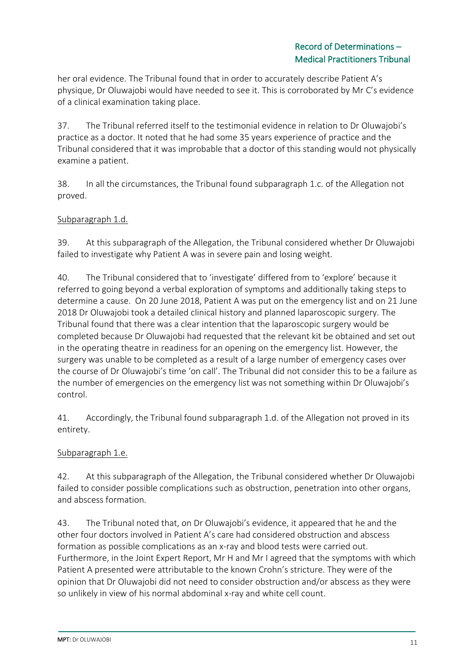her oral evidence. The Tribunal found that in order to accurately describe Patient A's physique, Dr Oluwajobi would have needed to see it. This is corroborated by Mr C's evidence of a clinical examination taking place.

37. The Tribunal referred itself to the testimonial evidence in relation to Dr Oluwajobi's practice as a doctor. It noted that he had some 35 years experience of practice and the Tribunal considered that it was improbable that a doctor of this standing would not physically examine a patient.

38. In all the circumstances, the Tribunal found subparagraph 1.c. of the Allegation not proved.

## Subparagraph 1.d.

39. At this subparagraph of the Allegation, the Tribunal considered whether Dr Oluwajobi failed to investigate why Patient A was in severe pain and losing weight.

40. The Tribunal considered that to 'investigate' differed from to 'explore' because it referred to going beyond a verbal exploration of symptoms and additionally taking steps to determine a cause. On 20 June 2018, Patient A was put on the emergency list and on 21 June 2018 Dr Oluwajobi took a detailed clinical history and planned laparoscopic surgery. The Tribunal found that there was a clear intention that the laparoscopic surgery would be completed because Dr Oluwajobi had requested that the relevant kit be obtained and set out in the operating theatre in readiness for an opening on the emergency list. However, the surgery was unable to be completed as a result of a large number of emergency cases over the course of Dr Oluwajobi's time 'on call'. The Tribunal did not consider this to be a failure as the number of emergencies on the emergency list was not something within Dr Oluwajobi's control.

41. Accordingly, the Tribunal found subparagraph 1.d. of the Allegation not proved in its entirety.

## Subparagraph 1.e.

42. At this subparagraph of the Allegation, the Tribunal considered whether Dr Oluwajobi failed to consider possible complications such as obstruction, penetration into other organs, and abscess formation.

43. The Tribunal noted that, on Dr Oluwajobi's evidence, it appeared that he and the other four doctors involved in Patient A's care had considered obstruction and abscess formation as possible complications as an x-ray and blood tests were carried out. Furthermore, in the Joint Expert Report, Mr H and Mr I agreed that the symptoms with which Patient A presented were attributable to the known Crohn's stricture. They were of the opinion that Dr Oluwajobi did not need to consider obstruction and/or abscess as they were so unlikely in view of his normal abdominal x-ray and white cell count.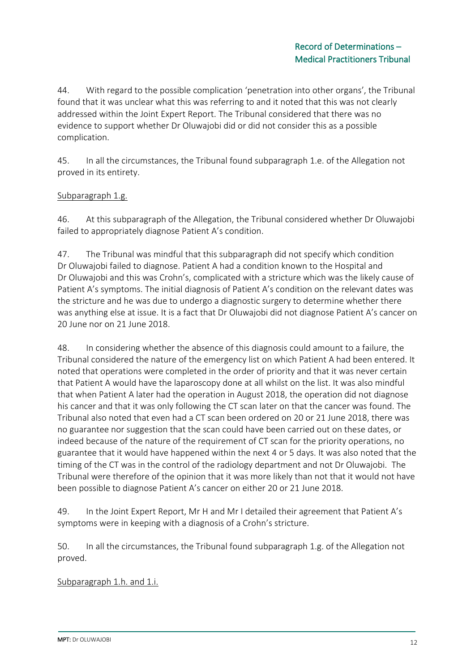44. With regard to the possible complication 'penetration into other organs', the Tribunal found that it was unclear what this was referring to and it noted that this was not clearly addressed within the Joint Expert Report. The Tribunal considered that there was no evidence to support whether Dr Oluwajobi did or did not consider this as a possible complication.

45. In all the circumstances, the Tribunal found subparagraph 1.e. of the Allegation not proved in its entirety.

## Subparagraph 1.g.

46. At this subparagraph of the Allegation, the Tribunal considered whether Dr Oluwajobi failed to appropriately diagnose Patient A's condition.

47. The Tribunal was mindful that this subparagraph did not specify which condition Dr Oluwajobi failed to diagnose. Patient A had a condition known to the Hospital and Dr Oluwajobi and this was Crohn's, complicated with a stricture which was the likely cause of Patient A's symptoms. The initial diagnosis of Patient A's condition on the relevant dates was the stricture and he was due to undergo a diagnostic surgery to determine whether there was anything else at issue. It is a fact that Dr Oluwajobi did not diagnose Patient A's cancer on 20 June nor on 21 June 2018.

48. In considering whether the absence of this diagnosis could amount to a failure, the Tribunal considered the nature of the emergency list on which Patient A had been entered. It noted that operations were completed in the order of priority and that it was never certain that Patient A would have the laparoscopy done at all whilst on the list. It was also mindful that when Patient A later had the operation in August 2018, the operation did not diagnose his cancer and that it was only following the CT scan later on that the cancer was found. The Tribunal also noted that even had a CT scan been ordered on 20 or 21 June 2018, there was no guarantee nor suggestion that the scan could have been carried out on these dates, or indeed because of the nature of the requirement of CT scan for the priority operations, no guarantee that it would have happened within the next 4 or 5 days. It was also noted that the timing of the CT was in the control of the radiology department and not Dr Oluwajobi. The Tribunal were therefore of the opinion that it was more likely than not that it would not have been possible to diagnose Patient A's cancer on either 20 or 21 June 2018.

49. In the Joint Expert Report, Mr H and Mr I detailed their agreement that Patient A's symptoms were in keeping with a diagnosis of a Crohn's stricture.

50. In all the circumstances, the Tribunal found subparagraph 1.g. of the Allegation not proved.

## Subparagraph 1.h. and 1.i.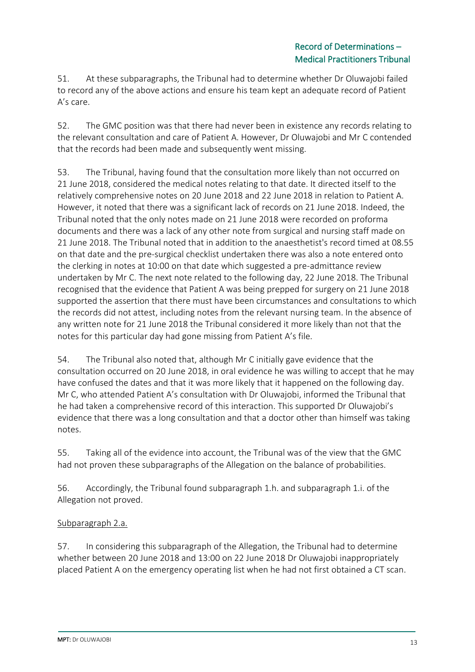51. At these subparagraphs, the Tribunal had to determine whether Dr Oluwajobi failed to record any of the above actions and ensure his team kept an adequate record of Patient A's care.

52. The GMC position was that there had never been in existence any records relating to the relevant consultation and care of Patient A. However, Dr Oluwajobi and Mr C contended that the records had been made and subsequently went missing.

53. The Tribunal, having found that the consultation more likely than not occurred on 21 June 2018, considered the medical notes relating to that date. It directed itself to the relatively comprehensive notes on 20 June 2018 and 22 June 2018 in relation to Patient A. However, it noted that there was a significant lack of records on 21 June 2018. Indeed, the Tribunal noted that the only notes made on 21 June 2018 were recorded on proforma documents and there was a lack of any other note from surgical and nursing staff made on 21 June 2018. The Tribunal noted that in addition to the anaesthetist's record timed at 08.55 on that date and the pre-surgical checklist undertaken there was also a note entered onto the clerking in notes at 10:00 on that date which suggested a pre-admittance review undertaken by Mr C. The next note related to the following day, 22 June 2018. The Tribunal recognised that the evidence that Patient A was being prepped for surgery on 21 June 2018 supported the assertion that there must have been circumstances and consultations to which the records did not attest, including notes from the relevant nursing team. In the absence of any written note for 21 June 2018 the Tribunal considered it more likely than not that the notes for this particular day had gone missing from Patient A's file.

54. The Tribunal also noted that, although Mr C initially gave evidence that the consultation occurred on 20 June 2018, in oral evidence he was willing to accept that he may have confused the dates and that it was more likely that it happened on the following day. Mr C, who attended Patient A's consultation with Dr Oluwajobi, informed the Tribunal that he had taken a comprehensive record of this interaction. This supported Dr Oluwajobi's evidence that there was a long consultation and that a doctor other than himself was taking notes.

55. Taking all of the evidence into account, the Tribunal was of the view that the GMC had not proven these subparagraphs of the Allegation on the balance of probabilities.

56. Accordingly, the Tribunal found subparagraph 1.h. and subparagraph 1.i. of the Allegation not proved.

# Subparagraph 2.a.

57. In considering this subparagraph of the Allegation, the Tribunal had to determine whether between 20 June 2018 and 13:00 on 22 June 2018 Dr Oluwajobi inappropriately placed Patient A on the emergency operating list when he had not first obtained a CT scan.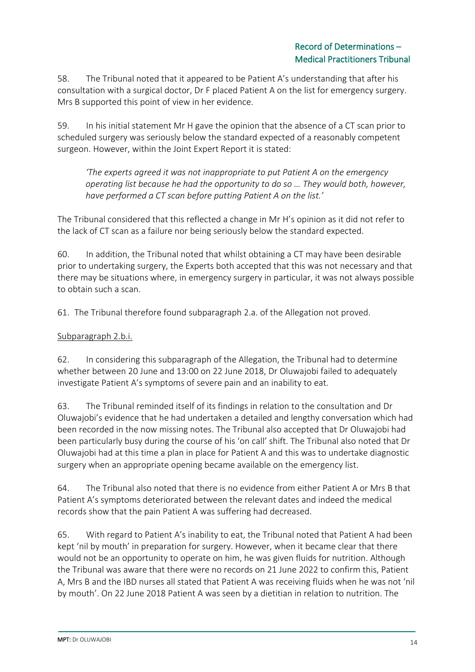58. The Tribunal noted that it appeared to be Patient A's understanding that after his consultation with a surgical doctor, Dr F placed Patient A on the list for emergency surgery. Mrs B supported this point of view in her evidence.

59. In his initial statement Mr H gave the opinion that the absence of a CT scan prior to scheduled surgery was seriously below the standard expected of a reasonably competent surgeon. However, within the Joint Expert Report it is stated:

*'The experts agreed it was not inappropriate to put Patient A on the emergency operating list because he had the opportunity to do so … They would both, however, have performed a CT scan before putting Patient A on the list.'*

The Tribunal considered that this reflected a change in Mr H's opinion as it did not refer to the lack of CT scan as a failure nor being seriously below the standard expected.

60. In addition, the Tribunal noted that whilst obtaining a CT may have been desirable prior to undertaking surgery, the Experts both accepted that this was not necessary and that there may be situations where, in emergency surgery in particular, it was not always possible to obtain such a scan.

61. The Tribunal therefore found subparagraph 2.a. of the Allegation not proved.

## Subparagraph 2.b.i.

62. In considering this subparagraph of the Allegation, the Tribunal had to determine whether between 20 June and 13:00 on 22 June 2018, Dr Oluwajobi failed to adequately investigate Patient A's symptoms of severe pain and an inability to eat.

63. The Tribunal reminded itself of its findings in relation to the consultation and Dr Oluwajobi's evidence that he had undertaken a detailed and lengthy conversation which had been recorded in the now missing notes. The Tribunal also accepted that Dr Oluwajobi had been particularly busy during the course of his 'on call' shift. The Tribunal also noted that Dr Oluwajobi had at this time a plan in place for Patient A and this was to undertake diagnostic surgery when an appropriate opening became available on the emergency list.

64. The Tribunal also noted that there is no evidence from either Patient A or Mrs B that Patient A's symptoms deteriorated between the relevant dates and indeed the medical records show that the pain Patient A was suffering had decreased.

65. With regard to Patient A's inability to eat, the Tribunal noted that Patient A had been kept 'nil by mouth' in preparation for surgery. However, when it became clear that there would not be an opportunity to operate on him, he was given fluids for nutrition. Although the Tribunal was aware that there were no records on 21 June 2022 to confirm this, Patient A, Mrs B and the IBD nurses all stated that Patient A was receiving fluids when he was not 'nil by mouth'. On 22 June 2018 Patient A was seen by a dietitian in relation to nutrition. The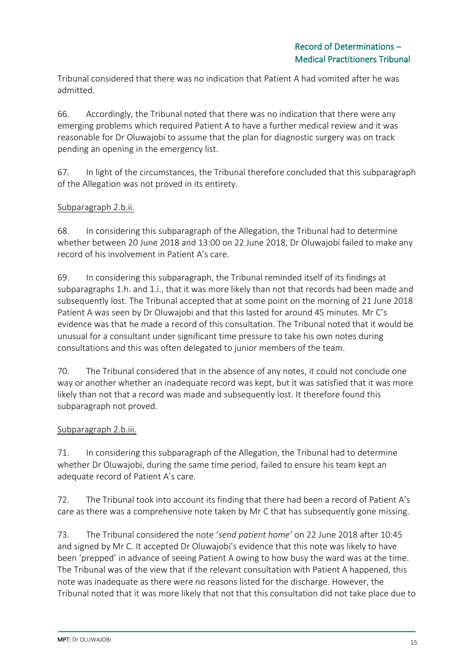Tribunal considered that there was no indication that Patient A had vomited after he was admitted.

66. Accordingly, the Tribunal noted that there was no indication that there were any emerging problems which required Patient A to have a further medical review and it was reasonable for Dr Oluwajobi to assume that the plan for diagnostic surgery was on track pending an opening in the emergency list.

67. In light of the circumstances, the Tribunal therefore concluded that this subparagraph of the Allegation was not proved in its entirety.

## Subparagraph 2.b.ii.

68. In considering this subparagraph of the Allegation, the Tribunal had to determine whether between 20 June 2018 and 13:00 on 22 June 2018, Dr Oluwajobi failed to make any record of his involvement in Patient A's care.

69. In considering this subparagraph, the Tribunal reminded itself of its findings at subparagraphs 1.h. and 1.i., that it was more likely than not that records had been made and subsequently lost. The Tribunal accepted that at some point on the morning of 21 June 2018 Patient A was seen by Dr Oluwajobi and that this lasted for around 45 minutes. Mr C's evidence was that he made a record of this consultation. The Tribunal noted that it would be unusual for a consultant under significant time pressure to take his own notes during consultations and this was often delegated to junior members of the team.

70. The Tribunal considered that in the absence of any notes, it could not conclude one way or another whether an inadequate record was kept, but it was satisfied that it was more likely than not that a record was made and subsequently lost. It therefore found this subparagraph not proved.

## Subparagraph 2.b.iii.

71. In considering this subparagraph of the Allegation, the Tribunal had to determine whether Dr Oluwajobi, during the same time period, failed to ensure his team kept an adequate record of Patient A's care.

72. The Tribunal took into account its finding that there had been a record of Patient A's care as there was a comprehensive note taken by Mr C that has subsequently gone missing.

73. The Tribunal considered the note '*send patient home'* on 22 June 2018 after 10:45 and signed by Mr C. It accepted Dr Oluwajobi's evidence that this note was likely to have been 'prepped' in advance of seeing Patient A owing to how busy the ward was at the time. The Tribunal was of the view that if the relevant consultation with Patient A happened, this note was inadequate as there were no reasons listed for the discharge. However, the Tribunal noted that it was more likely that not that this consultation did not take place due to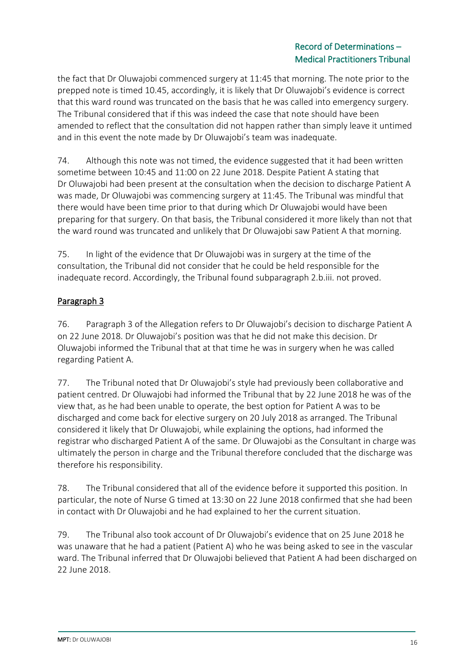the fact that Dr Oluwajobi commenced surgery at 11:45 that morning. The note prior to the prepped note is timed 10.45, accordingly, it is likely that Dr Oluwajobi's evidence is correct that this ward round was truncated on the basis that he was called into emergency surgery. The Tribunal considered that if this was indeed the case that note should have been amended to reflect that the consultation did not happen rather than simply leave it untimed and in this event the note made by Dr Oluwajobi's team was inadequate.

74. Although this note was not timed, the evidence suggested that it had been written sometime between 10:45 and 11:00 on 22 June 2018. Despite Patient A stating that Dr Oluwajobi had been present at the consultation when the decision to discharge Patient A was made, Dr Oluwajobi was commencing surgery at 11:45. The Tribunal was mindful that there would have been time prior to that during which Dr Oluwajobi would have been preparing for that surgery. On that basis, the Tribunal considered it more likely than not that the ward round was truncated and unlikely that Dr Oluwajobi saw Patient A that morning.

75. In light of the evidence that Dr Oluwajobi was in surgery at the time of the consultation, the Tribunal did not consider that he could be held responsible for the inadequate record. Accordingly, the Tribunal found subparagraph 2.b.iii. not proved.

# Paragraph 3

76. Paragraph 3 of the Allegation refers to Dr Oluwajobi's decision to discharge Patient A on 22 June 2018. Dr Oluwajobi's position was that he did not make this decision. Dr Oluwajobi informed the Tribunal that at that time he was in surgery when he was called regarding Patient A.

77. The Tribunal noted that Dr Oluwajobi's style had previously been collaborative and patient centred. Dr Oluwajobi had informed the Tribunal that by 22 June 2018 he was of the view that, as he had been unable to operate, the best option for Patient A was to be discharged and come back for elective surgery on 20 July 2018 as arranged. The Tribunal considered it likely that Dr Oluwajobi, while explaining the options, had informed the registrar who discharged Patient A of the same. Dr Oluwajobi as the Consultant in charge was ultimately the person in charge and the Tribunal therefore concluded that the discharge was therefore his responsibility.

78. The Tribunal considered that all of the evidence before it supported this position. In particular, the note of Nurse G timed at 13:30 on 22 June 2018 confirmed that she had been in contact with Dr Oluwajobi and he had explained to her the current situation.

79. The Tribunal also took account of Dr Oluwajobi's evidence that on 25 June 2018 he was unaware that he had a patient (Patient A) who he was being asked to see in the vascular ward. The Tribunal inferred that Dr Oluwajobi believed that Patient A had been discharged on 22 June 2018.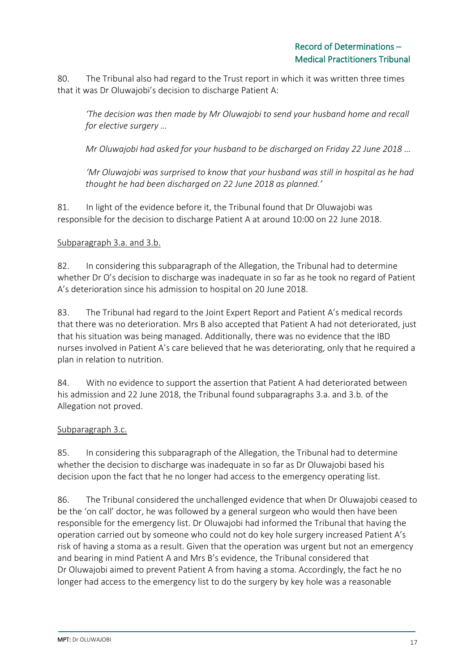80. The Tribunal also had regard to the Trust report in which it was written three times that it was Dr Oluwajobi's decision to discharge Patient A:

*'The decision was then made by Mr Oluwajobi to send your husband home and recall for elective surgery …*

*Mr Oluwajobi had asked for your husband to be discharged on Friday 22 June 2018 …*

*'Mr Oluwajobi was surprised to know that your husband was still in hospital as he had thought he had been discharged on 22 June 2018 as planned.'* 

81. In light of the evidence before it, the Tribunal found that Dr Oluwajobi was responsible for the decision to discharge Patient A at around 10:00 on 22 June 2018.

Subparagraph 3.a. and 3.b.

82. In considering this subparagraph of the Allegation, the Tribunal had to determine whether Dr O's decision to discharge was inadequate in so far as he took no regard of Patient A's deterioration since his admission to hospital on 20 June 2018.

83. The Tribunal had regard to the Joint Expert Report and Patient A's medical records that there was no deterioration. Mrs B also accepted that Patient A had not deteriorated, just that his situation was being managed. Additionally, there was no evidence that the IBD nurses involved in Patient A's care believed that he was deteriorating, only that he required a plan in relation to nutrition.

84. With no evidence to support the assertion that Patient A had deteriorated between his admission and 22 June 2018, the Tribunal found subparagraphs 3.a. and 3.b. of the Allegation not proved.

## Subparagraph 3.c.

85. In considering this subparagraph of the Allegation, the Tribunal had to determine whether the decision to discharge was inadequate in so far as Dr Oluwajobi based his decision upon the fact that he no longer had access to the emergency operating list.

86. The Tribunal considered the unchallenged evidence that when Dr Oluwajobi ceased to be the 'on call' doctor, he was followed by a general surgeon who would then have been responsible for the emergency list. Dr Oluwajobi had informed the Tribunal that having the operation carried out by someone who could not do key hole surgery increased Patient A's risk of having a stoma as a result. Given that the operation was urgent but not an emergency and bearing in mind Patient A and Mrs B's evidence, the Tribunal considered that Dr Oluwajobi aimed to prevent Patient A from having a stoma. Accordingly, the fact he no longer had access to the emergency list to do the surgery by key hole was a reasonable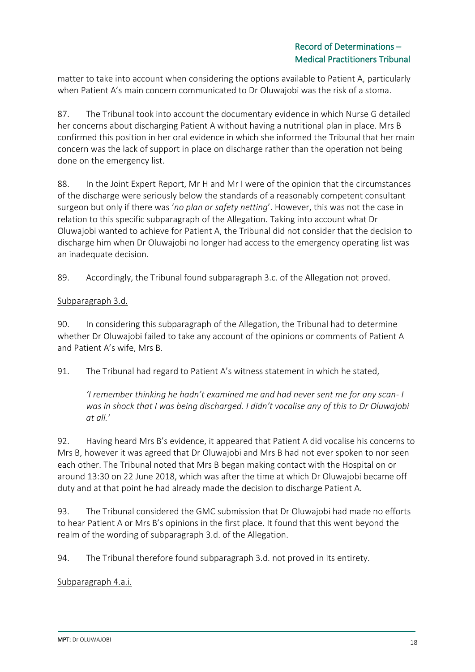matter to take into account when considering the options available to Patient A, particularly when Patient A's main concern communicated to Dr Oluwajobi was the risk of a stoma.

87. The Tribunal took into account the documentary evidence in which Nurse G detailed her concerns about discharging Patient A without having a nutritional plan in place. Mrs B confirmed this position in her oral evidence in which she informed the Tribunal that her main concern was the lack of support in place on discharge rather than the operation not being done on the emergency list.

88. In the Joint Expert Report, Mr H and Mr I were of the opinion that the circumstances of the discharge were seriously below the standards of a reasonably competent consultant surgeon but only if there was '*no plan or safety netting*'. However, this was not the case in relation to this specific subparagraph of the Allegation. Taking into account what Dr Oluwajobi wanted to achieve for Patient A, the Tribunal did not consider that the decision to discharge him when Dr Oluwajobi no longer had access to the emergency operating list was an inadequate decision.

89. Accordingly, the Tribunal found subparagraph 3.c. of the Allegation not proved.

## Subparagraph 3.d.

90. In considering this subparagraph of the Allegation, the Tribunal had to determine whether Dr Oluwajobi failed to take any account of the opinions or comments of Patient A and Patient A's wife, Mrs B.

91. The Tribunal had regard to Patient A's witness statement in which he stated,

*'I remember thinking he hadn't examined me and had never sent me for any scan- I was in shock that I was being discharged. I didn't vocalise any of this to Dr Oluwajobi at all.'*

92. Having heard Mrs B's evidence, it appeared that Patient A did vocalise his concerns to Mrs B, however it was agreed that Dr Oluwajobi and Mrs B had not ever spoken to nor seen each other. The Tribunal noted that Mrs B began making contact with the Hospital on or around 13:30 on 22 June 2018, which was after the time at which Dr Oluwajobi became off duty and at that point he had already made the decision to discharge Patient A.

93. The Tribunal considered the GMC submission that Dr Oluwajobi had made no efforts to hear Patient A or Mrs B's opinions in the first place. It found that this went beyond the realm of the wording of subparagraph 3.d. of the Allegation.

94. The Tribunal therefore found subparagraph 3.d. not proved in its entirety.

## Subparagraph 4.a.i.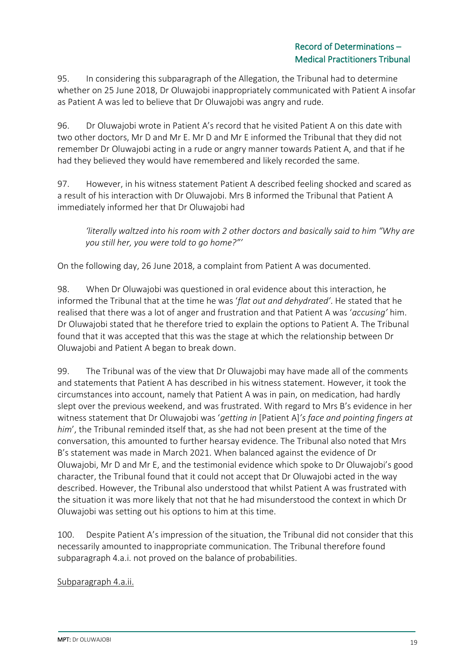95. In considering this subparagraph of the Allegation, the Tribunal had to determine whether on 25 June 2018, Dr Oluwajobi inappropriately communicated with Patient A insofar as Patient A was led to believe that Dr Oluwajobi was angry and rude.

96. Dr Oluwajobi wrote in Patient A's record that he visited Patient A on this date with two other doctors, Mr D and Mr E. Mr D and Mr E informed the Tribunal that they did not remember Dr Oluwajobi acting in a rude or angry manner towards Patient A, and that if he had they believed they would have remembered and likely recorded the same.

97. However, in his witness statement Patient A described feeling shocked and scared as a result of his interaction with Dr Oluwajobi. Mrs B informed the Tribunal that Patient A immediately informed her that Dr Oluwajobi had

*'literally waltzed into his room with 2 other doctors and basically said to him "Why are you still her, you were told to go home?"'* 

On the following day, 26 June 2018, a complaint from Patient A was documented.

98. When Dr Oluwajobi was questioned in oral evidence about this interaction, he informed the Tribunal that at the time he was '*flat out and dehydrated'*. He stated that he realised that there was a lot of anger and frustration and that Patient A was '*accusing'* him. Dr Oluwajobi stated that he therefore tried to explain the options to Patient A. The Tribunal found that it was accepted that this was the stage at which the relationship between Dr Oluwajobi and Patient A began to break down.

99. The Tribunal was of the view that Dr Oluwajobi may have made all of the comments and statements that Patient A has described in his witness statement. However, it took the circumstances into account, namely that Patient A was in pain, on medication, had hardly slept over the previous weekend, and was frustrated. With regard to Mrs B's evidence in her witness statement that Dr Oluwajobi was '*getting in* [Patient A]*'s face and pointing fingers at him*', the Tribunal reminded itself that, as she had not been present at the time of the conversation, this amounted to further hearsay evidence. The Tribunal also noted that Mrs B's statement was made in March 2021. When balanced against the evidence of Dr Oluwajobi, Mr D and Mr E, and the testimonial evidence which spoke to Dr Oluwajobi's good character, the Tribunal found that it could not accept that Dr Oluwajobi acted in the way described. However, the Tribunal also understood that whilst Patient A was frustrated with the situation it was more likely that not that he had misunderstood the context in which Dr Oluwajobi was setting out his options to him at this time.

100. Despite Patient A's impression of the situation, the Tribunal did not consider that this necessarily amounted to inappropriate communication. The Tribunal therefore found subparagraph 4.a.i. not proved on the balance of probabilities.

Subparagraph 4.a.ii.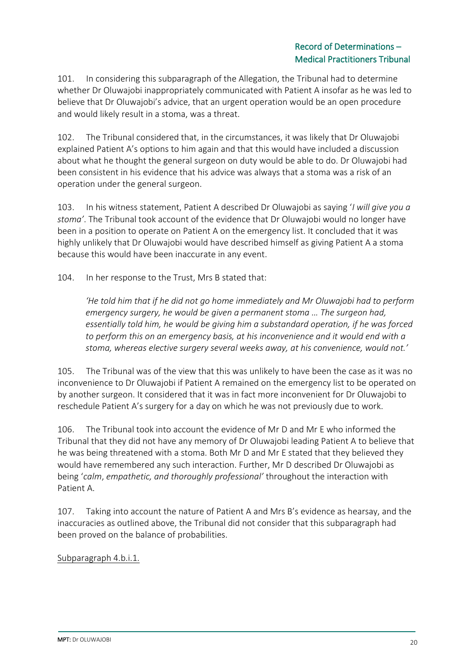101. In considering this subparagraph of the Allegation, the Tribunal had to determine whether Dr Oluwajobi inappropriately communicated with Patient A insofar as he was led to believe that Dr Oluwajobi's advice, that an urgent operation would be an open procedure and would likely result in a stoma, was a threat.

102. The Tribunal considered that, in the circumstances, it was likely that Dr Oluwajobi explained Patient A's options to him again and that this would have included a discussion about what he thought the general surgeon on duty would be able to do. Dr Oluwajobi had been consistent in his evidence that his advice was always that a stoma was a risk of an operation under the general surgeon.

103. In his witness statement, Patient A described Dr Oluwajobi as saying '*I will give you a stoma'*. The Tribunal took account of the evidence that Dr Oluwajobi would no longer have been in a position to operate on Patient A on the emergency list. It concluded that it was highly unlikely that Dr Oluwajobi would have described himself as giving Patient A a stoma because this would have been inaccurate in any event.

104. In her response to the Trust, Mrs B stated that:

*'He told him that if he did not go home immediately and Mr Oluwajobi had to perform emergency surgery, he would be given a permanent stoma … The surgeon had, essentially told him, he would be giving him a substandard operation, if he was forced to perform this on an emergency basis, at his inconvenience and it would end with a stoma, whereas elective surgery several weeks away, at his convenience, would not.'* 

105. The Tribunal was of the view that this was unlikely to have been the case as it was no inconvenience to Dr Oluwajobi if Patient A remained on the emergency list to be operated on by another surgeon. It considered that it was in fact more inconvenient for Dr Oluwajobi to reschedule Patient A's surgery for a day on which he was not previously due to work.

106. The Tribunal took into account the evidence of Mr D and Mr E who informed the Tribunal that they did not have any memory of Dr Oluwajobi leading Patient A to believe that he was being threatened with a stoma. Both Mr D and Mr E stated that they believed they would have remembered any such interaction. Further, Mr D described Dr Oluwajobi as being '*calm*, *empathetic, and thoroughly professional'* throughout the interaction with Patient A.

107. Taking into account the nature of Patient A and Mrs B's evidence as hearsay, and the inaccuracies as outlined above, the Tribunal did not consider that this subparagraph had been proved on the balance of probabilities.

Subparagraph 4.b.i.1.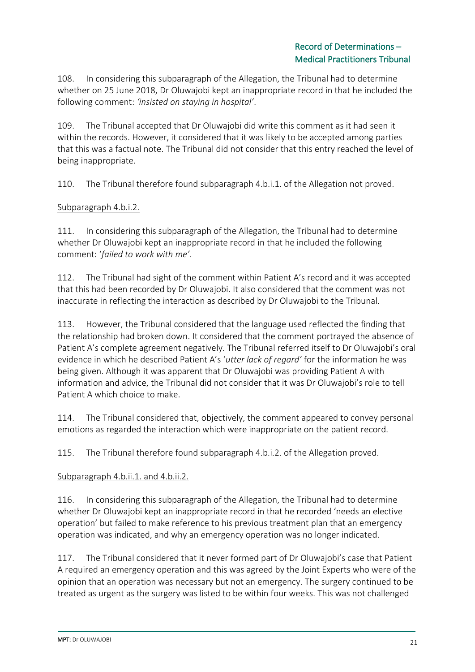108. In considering this subparagraph of the Allegation, the Tribunal had to determine whether on 25 June 2018, Dr Oluwajobi kept an inappropriate record in that he included the following comment: *'insisted on staying in hospital'*.

109. The Tribunal accepted that Dr Oluwajobi did write this comment as it had seen it within the records. However, it considered that it was likely to be accepted among parties that this was a factual note. The Tribunal did not consider that this entry reached the level of being inappropriate.

110. The Tribunal therefore found subparagraph 4.b.i.1. of the Allegation not proved.

## Subparagraph 4.b.i.2.

111. In considering this subparagraph of the Allegation, the Tribunal had to determine whether Dr Oluwajobi kept an inappropriate record in that he included the following comment: '*failed to work with me'*.

112. The Tribunal had sight of the comment within Patient A's record and it was accepted that this had been recorded by Dr Oluwajobi. It also considered that the comment was not inaccurate in reflecting the interaction as described by Dr Oluwajobi to the Tribunal.

113. However, the Tribunal considered that the language used reflected the finding that the relationship had broken down. It considered that the comment portrayed the absence of Patient A's complete agreement negatively. The Tribunal referred itself to Dr Oluwajobi's oral evidence in which he described Patient A's '*utter lack of regard'* for the information he was being given. Although it was apparent that Dr Oluwajobi was providing Patient A with information and advice, the Tribunal did not consider that it was Dr Oluwajobi's role to tell Patient A which choice to make.

114. The Tribunal considered that, objectively, the comment appeared to convey personal emotions as regarded the interaction which were inappropriate on the patient record.

115. The Tribunal therefore found subparagraph 4.b.i.2. of the Allegation proved.

## Subparagraph 4.b.ii.1. and 4.b.ii.2.

116. In considering this subparagraph of the Allegation, the Tribunal had to determine whether Dr Oluwajobi kept an inappropriate record in that he recorded 'needs an elective operation' but failed to make reference to his previous treatment plan that an emergency operation was indicated, and why an emergency operation was no longer indicated.

117. The Tribunal considered that it never formed part of Dr Oluwajobi's case that Patient A required an emergency operation and this was agreed by the Joint Experts who were of the opinion that an operation was necessary but not an emergency. The surgery continued to be treated as urgent as the surgery was listed to be within four weeks. This was not challenged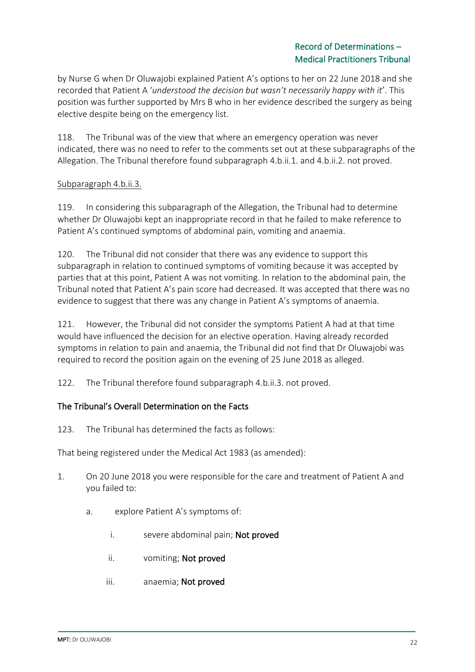by Nurse G when Dr Oluwajobi explained Patient A's options to her on 22 June 2018 and she recorded that Patient A '*understood the decision but wasn't necessarily happy with it*'. This position was further supported by Mrs B who in her evidence described the surgery as being elective despite being on the emergency list.

118. The Tribunal was of the view that where an emergency operation was never indicated, there was no need to refer to the comments set out at these subparagraphs of the Allegation. The Tribunal therefore found subparagraph 4.b.ii.1. and 4.b.ii.2. not proved.

## Subparagraph 4.b.ii.3.

119. In considering this subparagraph of the Allegation, the Tribunal had to determine whether Dr Oluwajobi kept an inappropriate record in that he failed to make reference to Patient A's continued symptoms of abdominal pain, vomiting and anaemia.

120. The Tribunal did not consider that there was any evidence to support this subparagraph in relation to continued symptoms of vomiting because it was accepted by parties that at this point, Patient A was not vomiting. In relation to the abdominal pain, the Tribunal noted that Patient A's pain score had decreased. It was accepted that there was no evidence to suggest that there was any change in Patient A's symptoms of anaemia.

121. However, the Tribunal did not consider the symptoms Patient A had at that time would have influenced the decision for an elective operation. Having already recorded symptoms in relation to pain and anaemia, the Tribunal did not find that Dr Oluwajobi was required to record the position again on the evening of 25 June 2018 as alleged.

122. The Tribunal therefore found subparagraph 4.b.ii.3. not proved.

# The Tribunal's Overall Determination on the Facts

123. The Tribunal has determined the facts as follows:

That being registered under the Medical Act 1983 (as amended):

- 1. On 20 June 2018 you were responsible for the care and treatment of Patient A and you failed to:
	- a. explore Patient A's symptoms of:
		- i. severe abdominal pain; Not proved
		- ii. vomiting; Not proved
		- iii. anaemia; Not proved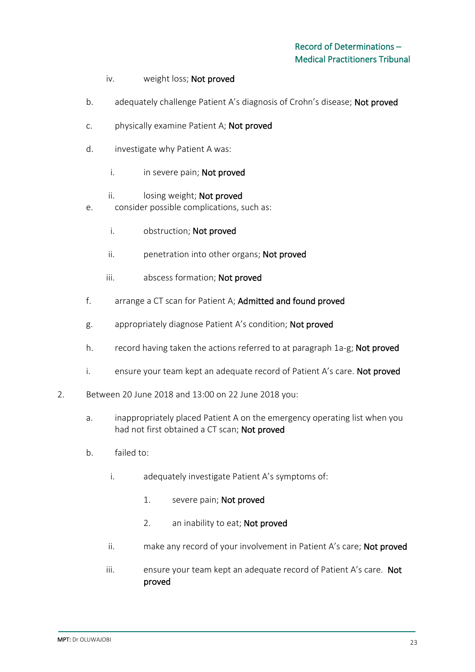- iv. weight loss; Not proved
- b. adequately challenge Patient A's diagnosis of Crohn's disease; Not proved
- c. physically examine Patient A; Not proved
- d. investigate why Patient A was:
	- i. in severe pain; Not proved
	- ii. losing weight; Not proved
- e. consider possible complications, such as:
	- i. obstruction; Not proved
	- ii. penetration into other organs; Not proved
	- iii. abscess formation; Not proved
- f. arrange a CT scan for Patient A; Admitted and found proved
- g. appropriately diagnose Patient A's condition; Not proved
- h. record having taken the actions referred to at paragraph 1a-g; Not proved
- i. ensure your team kept an adequate record of Patient A's care. Not proved
- 2. Between 20 June 2018 and 13:00 on 22 June 2018 you:
	- a. inappropriately placed Patient A on the emergency operating list when you had not first obtained a CT scan; Not proved
	- b. failed to:
		- i. adequately investigate Patient A's symptoms of:
			- 1. severe pain; Not proved
			- 2. an inability to eat; Not proved
		- ii. make any record of your involvement in Patient A's care: **Not proved**
		- iii. ensure your team kept an adequate record of Patient A's care. Not proved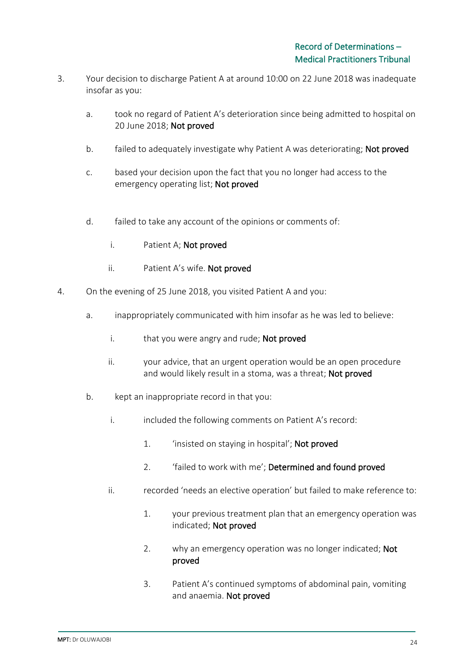- 3. Your decision to discharge Patient A at around 10:00 on 22 June 2018 was inadequate insofar as you:
	- a. took no regard of Patient A's deterioration since being admitted to hospital on 20 June 2018; Not proved
	- b. failed to adequately investigate why Patient A was deteriorating; Not proved
	- c. based your decision upon the fact that you no longer had access to the emergency operating list; Not proved
	- d. failed to take any account of the opinions or comments of:
		- i. Patient A; Not proved
		- ii. Patient A's wife. Not proved
- 4. On the evening of 25 June 2018, you visited Patient A and you:
	- a. inappropriately communicated with him insofar as he was led to believe:
		- i.  $\blacksquare$  that you were angry and rude; Not proved
		- ii. your advice, that an urgent operation would be an open procedure and would likely result in a stoma, was a threat; Not proved
	- b. kept an inappropriate record in that you:
		- i. included the following comments on Patient A's record:
			- 1. 'insisted on staying in hospital'; Not proved
			- 2. 'failed to work with me'; Determined and found proved
		- ii. recorded 'needs an elective operation' but failed to make reference to:
			- 1. your previous treatment plan that an emergency operation was indicated; Not proved
			- 2. why an emergency operation was no longer indicated; Not proved
			- 3. Patient A's continued symptoms of abdominal pain, vomiting and anaemia. Not proved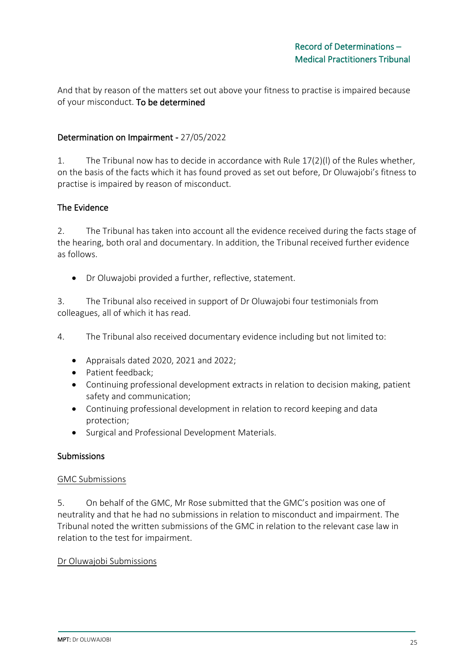And that by reason of the matters set out above your fitness to practise is impaired because of your misconduct. To be determined

#### Determination on Impairment - 27/05/2022

1. The Tribunal now has to decide in accordance with Rule 17(2)(l) of the Rules whether, on the basis of the facts which it has found proved as set out before, Dr Oluwajobi's fitness to practise is impaired by reason of misconduct.

#### The Evidence

2. The Tribunal has taken into account all the evidence received during the facts stage of the hearing, both oral and documentary. In addition, the Tribunal received further evidence as follows.

• Dr Oluwajobi provided a further, reflective, statement.

3. The Tribunal also received in support of Dr Oluwajobi four testimonials from colleagues, all of which it has read.

4. The Tribunal also received documentary evidence including but not limited to:

- Appraisals dated 2020, 2021 and 2022;
- Patient feedback;
- Continuing professional development extracts in relation to decision making, patient safety and communication;
- Continuing professional development in relation to record keeping and data protection;
- Surgical and Professional Development Materials.

#### **Submissions**

#### GMC Submissions

5. On behalf of the GMC, Mr Rose submitted that the GMC's position was one of neutrality and that he had no submissions in relation to misconduct and impairment. The Tribunal noted the written submissions of the GMC in relation to the relevant case law in relation to the test for impairment.

#### Dr Oluwajobi Submissions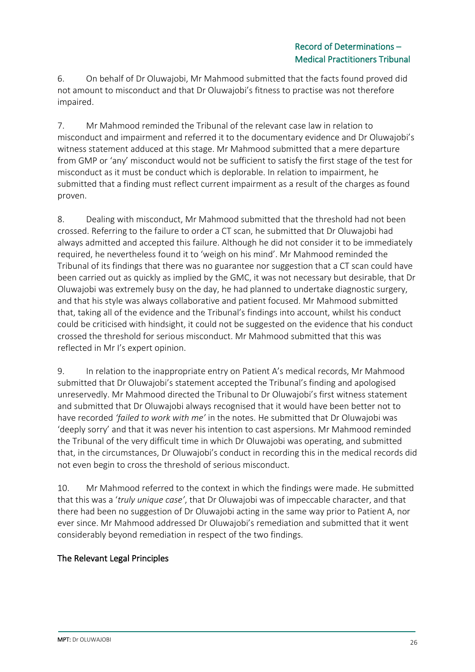6. On behalf of Dr Oluwajobi, Mr Mahmood submitted that the facts found proved did not amount to misconduct and that Dr Oluwajobi's fitness to practise was not therefore impaired.

7. Mr Mahmood reminded the Tribunal of the relevant case law in relation to misconduct and impairment and referred it to the documentary evidence and Dr Oluwajobi's witness statement adduced at this stage. Mr Mahmood submitted that a mere departure from GMP or 'any' misconduct would not be sufficient to satisfy the first stage of the test for misconduct as it must be conduct which is deplorable. In relation to impairment, he submitted that a finding must reflect current impairment as a result of the charges as found proven.

8. Dealing with misconduct, Mr Mahmood submitted that the threshold had not been crossed. Referring to the failure to order a CT scan, he submitted that Dr Oluwajobi had always admitted and accepted this failure. Although he did not consider it to be immediately required, he nevertheless found it to 'weigh on his mind'. Mr Mahmood reminded the Tribunal of its findings that there was no guarantee nor suggestion that a CT scan could have been carried out as quickly as implied by the GMC, it was not necessary but desirable, that Dr Oluwajobi was extremely busy on the day, he had planned to undertake diagnostic surgery, and that his style was always collaborative and patient focused. Mr Mahmood submitted that, taking all of the evidence and the Tribunal's findings into account, whilst his conduct could be criticised with hindsight, it could not be suggested on the evidence that his conduct crossed the threshold for serious misconduct. Mr Mahmood submitted that this was reflected in Mr I's expert opinion.

9. In relation to the inappropriate entry on Patient A's medical records, Mr Mahmood submitted that Dr Oluwajobi's statement accepted the Tribunal's finding and apologised unreservedly. Mr Mahmood directed the Tribunal to Dr Oluwajobi's first witness statement and submitted that Dr Oluwajobi always recognised that it would have been better not to have recorded *'failed to work with me'* in the notes. He submitted that Dr Oluwajobi was 'deeply sorry' and that it was never his intention to cast aspersions. Mr Mahmood reminded the Tribunal of the very difficult time in which Dr Oluwajobi was operating, and submitted that, in the circumstances, Dr Oluwajobi's conduct in recording this in the medical records did not even begin to cross the threshold of serious misconduct.

10. Mr Mahmood referred to the context in which the findings were made. He submitted that this was a '*truly unique case'*, that Dr Oluwajobi was of impeccable character, and that there had been no suggestion of Dr Oluwajobi acting in the same way prior to Patient A, nor ever since. Mr Mahmood addressed Dr Oluwajobi's remediation and submitted that it went considerably beyond remediation in respect of the two findings.

# The Relevant Legal Principles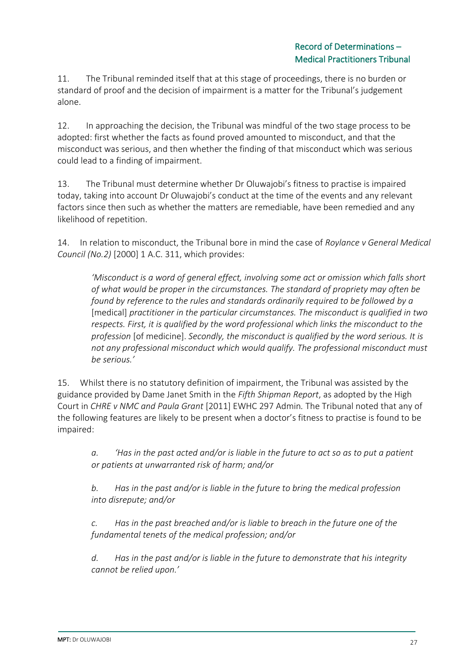11. The Tribunal reminded itself that at this stage of proceedings, there is no burden or standard of proof and the decision of impairment is a matter for the Tribunal's judgement alone.

12. In approaching the decision, the Tribunal was mindful of the two stage process to be adopted: first whether the facts as found proved amounted to misconduct, and that the misconduct was serious, and then whether the finding of that misconduct which was serious could lead to a finding of impairment.

13. The Tribunal must determine whether Dr Oluwajobi's fitness to practise is impaired today, taking into account Dr Oluwajobi's conduct at the time of the events and any relevant factors since then such as whether the matters are remediable, have been remedied and any likelihood of repetition.

14. In relation to misconduct, the Tribunal bore in mind the case of *Roylance v General Medical Council (No.2)* [2000] 1 A.C. 311, which provides:

*'Misconduct is a word of general effect, involving some act or omission which falls short of what would be proper in the circumstances. The standard of propriety may often be found by reference to the rules and standards ordinarily required to be followed by a*  [medical] *practitioner in the particular circumstances. The misconduct is qualified in two respects. First, it is qualified by the word professional which links the misconduct to the profession* [of medicine]. *Secondly, the misconduct is qualified by the word serious. It is not any professional misconduct which would qualify. The professional misconduct must be serious.'*

15. Whilst there is no statutory definition of impairment, the Tribunal was assisted by the guidance provided by Dame Janet Smith in the *Fifth Shipman Report*, as adopted by the High Court in *CHRE v NMC and Paula Grant* [2011] EWHC 297 Admin*.* The Tribunal noted that any of the following features are likely to be present when a doctor's fitness to practise is found to be impaired:

*a. 'Has in the past acted and/or is liable in the future to act so as to put a patient or patients at unwarranted risk of harm; and/or*

*b. Has in the past and/or is liable in the future to bring the medical profession into disrepute; and/or*

*c. Has in the past breached and/or is liable to breach in the future one of the fundamental tenets of the medical profession; and/or*

*d. Has in the past and/or is liable in the future to demonstrate that his integrity cannot be relied upon.'*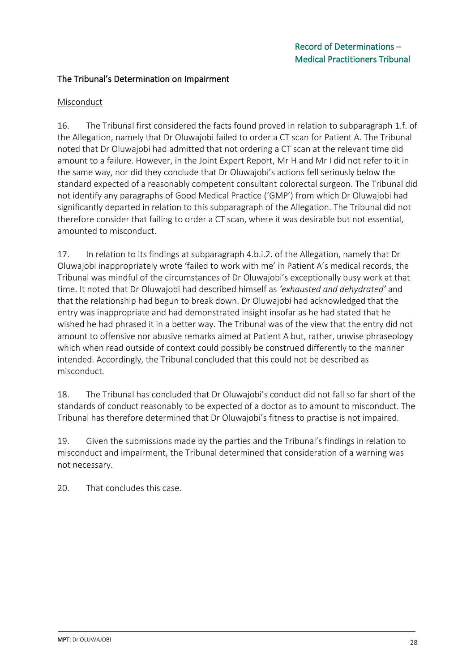## The Tribunal's Determination on Impairment

## Misconduct

16. The Tribunal first considered the facts found proved in relation to subparagraph 1.f. of the Allegation, namely that Dr Oluwajobi failed to order a CT scan for Patient A. The Tribunal noted that Dr Oluwajobi had admitted that not ordering a CT scan at the relevant time did amount to a failure. However, in the Joint Expert Report, Mr H and Mr I did not refer to it in the same way, nor did they conclude that Dr Oluwajobi's actions fell seriously below the standard expected of a reasonably competent consultant colorectal surgeon. The Tribunal did not identify any paragraphs of Good Medical Practice ('GMP') from which Dr Oluwajobi had significantly departed in relation to this subparagraph of the Allegation. The Tribunal did not therefore consider that failing to order a CT scan, where it was desirable but not essential, amounted to misconduct.

17. In relation to its findings at subparagraph 4.b.i.2. of the Allegation, namely that Dr Oluwajobi inappropriately wrote 'failed to work with me' in Patient A's medical records, the Tribunal was mindful of the circumstances of Dr Oluwajobi's exceptionally busy work at that time. It noted that Dr Oluwajobi had described himself as *'exhausted and dehydrated'* and that the relationship had begun to break down. Dr Oluwajobi had acknowledged that the entry was inappropriate and had demonstrated insight insofar as he had stated that he wished he had phrased it in a better way. The Tribunal was of the view that the entry did not amount to offensive nor abusive remarks aimed at Patient A but, rather, unwise phraseology which when read outside of context could possibly be construed differently to the manner intended. Accordingly, the Tribunal concluded that this could not be described as misconduct.

18. The Tribunal has concluded that Dr Oluwajobi's conduct did not fall so far short of the standards of conduct reasonably to be expected of a doctor as to amount to misconduct. The Tribunal has therefore determined that Dr Oluwajobi's fitness to practise is not impaired*.*

19. Given the submissions made by the parties and the Tribunal's findings in relation to misconduct and impairment, the Tribunal determined that consideration of a warning was not necessary.

20. That concludes this case.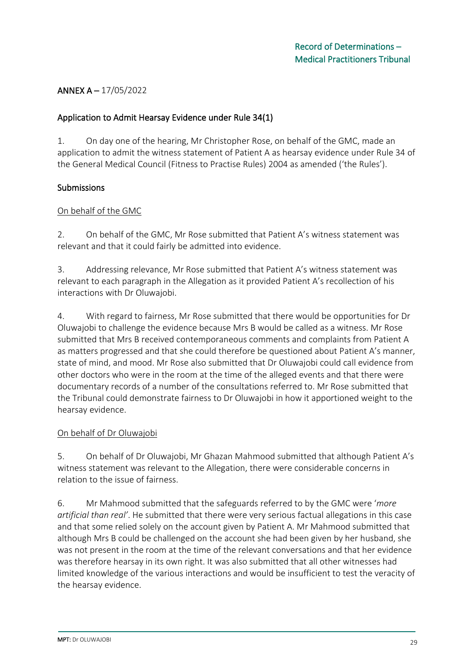## ANNEX A – 17/05/2022

#### Application to Admit Hearsay Evidence under Rule 34(1)

1. On day one of the hearing, Mr Christopher Rose, on behalf of the GMC, made an application to admit the witness statement of Patient A as hearsay evidence under Rule 34 of the General Medical Council (Fitness to Practise Rules) 2004 as amended ('the Rules').

#### Submissions

#### On behalf of the GMC

2. On behalf of the GMC, Mr Rose submitted that Patient A's witness statement was relevant and that it could fairly be admitted into evidence.

3. Addressing relevance, Mr Rose submitted that Patient A's witness statement was relevant to each paragraph in the Allegation as it provided Patient A's recollection of his interactions with Dr Oluwajobi.

4. With regard to fairness, Mr Rose submitted that there would be opportunities for Dr Oluwajobi to challenge the evidence because Mrs B would be called as a witness. Mr Rose submitted that Mrs B received contemporaneous comments and complaints from Patient A as matters progressed and that she could therefore be questioned about Patient A's manner, state of mind, and mood. Mr Rose also submitted that Dr Oluwajobi could call evidence from other doctors who were in the room at the time of the alleged events and that there were documentary records of a number of the consultations referred to. Mr Rose submitted that the Tribunal could demonstrate fairness to Dr Oluwajobi in how it apportioned weight to the hearsay evidence.

#### On behalf of Dr Oluwajobi

5. On behalf of Dr Oluwajobi, Mr Ghazan Mahmood submitted that although Patient A's witness statement was relevant to the Allegation, there were considerable concerns in relation to the issue of fairness.

6. Mr Mahmood submitted that the safeguards referred to by the GMC were '*more artificial than real'*. He submitted that there were very serious factual allegations in this case and that some relied solely on the account given by Patient A. Mr Mahmood submitted that although Mrs B could be challenged on the account she had been given by her husband, she was not present in the room at the time of the relevant conversations and that her evidence was therefore hearsay in its own right. It was also submitted that all other witnesses had limited knowledge of the various interactions and would be insufficient to test the veracity of the hearsay evidence.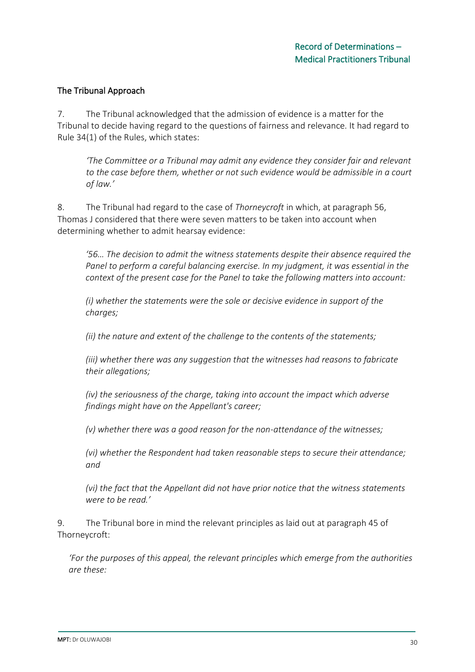## The Tribunal Approach

7. The Tribunal acknowledged that the admission of evidence is a matter for the Tribunal to decide having regard to the questions of fairness and relevance. It had regard to Rule 34(1) of the Rules, which states:

*'The Committee or a Tribunal may admit any evidence they consider fair and relevant to the case before them, whether or not such evidence would be admissible in a court of law.'*

8. The Tribunal had regard to the case of *Thorneycroft* in which, at paragraph 56, Thomas J considered that there were seven matters to be taken into account when determining whether to admit hearsay evidence:

*'56… The decision to admit the witness statements despite their absence required the Panel to perform a careful balancing exercise. In my judgment, it was essential in the context of the present case for the Panel to take the following matters into account:*

*(i) whether the statements were the sole or decisive evidence in support of the charges;*

*(ii) the nature and extent of the challenge to the contents of the statements;*

*(iii) whether there was any suggestion that the witnesses had reasons to fabricate their allegations;*

*(iv) the seriousness of the charge, taking into account the impact which adverse findings might have on the Appellant's career;*

*(v) whether there was a good reason for the non-attendance of the witnesses;*

*(vi) whether the Respondent had taken reasonable steps to secure their attendance; and*

*(vi) the fact that the Appellant did not have prior notice that the witness statements were to be read.'*

9. The Tribunal bore in mind the relevant principles as laid out at paragraph 45 of Thorneycroft:

*'For the purposes of this appeal, the relevant principles which emerge from the authorities are these:*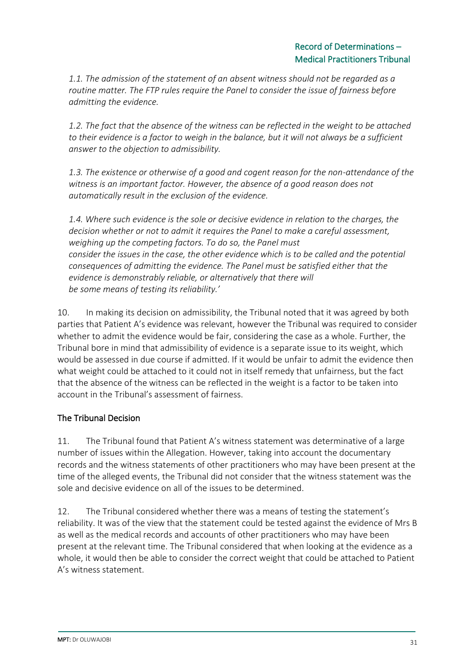*1.1. The admission of the statement of an absent witness should not be regarded as a routine matter. The FTP rules require the Panel to consider the issue of fairness before admitting the evidence.*

*1.2. The fact that the absence of the witness can be reflected in the weight to be attached to their evidence is a factor to weigh in the balance, but it will not always be a sufficient answer to the objection to admissibility.*

*1.3. The existence or otherwise of a good and cogent reason for the non-attendance of the witness is an important factor. However, the absence of a good reason does not automatically result in the exclusion of the evidence.*

*1.4. Where such evidence is the sole or decisive evidence in relation to the charges, the decision whether or not to admit it requires the Panel to make a careful assessment, weighing up the competing factors. To do so, the Panel must consider the issues in the case, the other evidence which is to be called and the potential consequences of admitting the evidence. The Panel must be satisfied either that the evidence is demonstrably reliable, or alternatively that there will be some means of testing its reliability.'*

10. In making its decision on admissibility, the Tribunal noted that it was agreed by both parties that Patient A's evidence was relevant, however the Tribunal was required to consider whether to admit the evidence would be fair, considering the case as a whole. Further, the Tribunal bore in mind that admissibility of evidence is a separate issue to its weight, which would be assessed in due course if admitted. If it would be unfair to admit the evidence then what weight could be attached to it could not in itself remedy that unfairness, but the fact that the absence of the witness can be reflected in the weight is a factor to be taken into account in the Tribunal's assessment of fairness.

# The Tribunal Decision

11. The Tribunal found that Patient A's witness statement was determinative of a large number of issues within the Allegation. However, taking into account the documentary records and the witness statements of other practitioners who may have been present at the time of the alleged events, the Tribunal did not consider that the witness statement was the sole and decisive evidence on all of the issues to be determined.

12. The Tribunal considered whether there was a means of testing the statement's reliability. It was of the view that the statement could be tested against the evidence of Mrs B as well as the medical records and accounts of other practitioners who may have been present at the relevant time. The Tribunal considered that when looking at the evidence as a whole, it would then be able to consider the correct weight that could be attached to Patient A's witness statement.